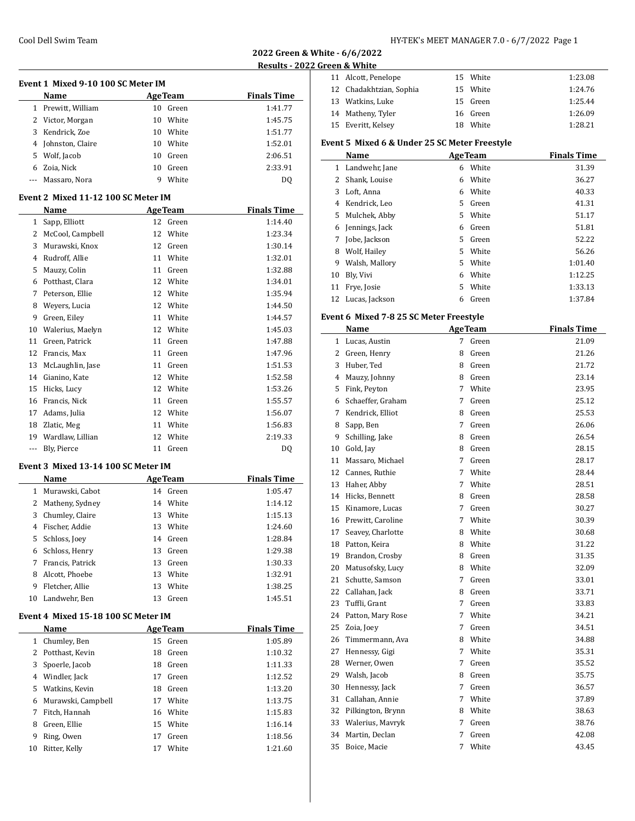**2022 Green & White - 6/6/2022**

 $\overline{\phantom{0}}$ 

#### **022 Green & White**

|  | 11 Alcott, Penelope     | 15 White | 1:23.08 |
|--|-------------------------|----------|---------|
|  | 12 Chadakhtzian, Sophia | 15 White | 1:24.76 |
|  | 13 Watkins, Luke        | 15 Green | 1:25.44 |
|  | 14 Matheny, Tyler       | 16 Green | 1:26.09 |
|  | 15 Everitt, Kelsey      | 18 White | 1:28.21 |

# **Event 5 Mixed 6 & Under 25 SC Meter Freestyle**

| Name |                   |    | <b>AgeTeam</b> | <b>Finals Time</b> |
|------|-------------------|----|----------------|--------------------|
| 1    | Landwehr, Jane    | 6  | White          | 31.39              |
| 2    | Shank, Louise     | 6  | White          | 36.27              |
| 3    | Loft, Anna        | 6. | White          | 40.33              |
| 4    | Kendrick. Leo     | 5. | Green          | 41.31              |
|      | 5 Mulchek, Abby   | 5. | White          | 51.17              |
| 6    | Jennings, Jack    | 6  | Green          | 51.81              |
| 7    | Jobe, Jackson     | 5. | Green          | 52.22              |
| 8    | Wolf, Hailey      | 5. | White          | 56.26              |
| 9    | Walsh, Mallory    | 5. | White          | 1:01.40            |
| 10   | Bly, Vivi         | 6. | White          | 1:12.25            |
| 11   | Frye, Josie       | 5. | White          | 1:33.13            |
|      | 12 Lucas, Jackson | 6  | Green          | 1:37.84            |

# **Event 6 Mixed 7-8 25 SC Meter Freestyle**

|    | Name              |   | <b>AgeTeam</b> | <b>Finals Time</b> |
|----|-------------------|---|----------------|--------------------|
| 1  | Lucas, Austin     | 7 | Green          | 21.09              |
| 2  | Green, Henry      | 8 | Green          | 21.26              |
| 3  | Huber, Ted        | 8 | Green          | 21.72              |
| 4  | Mauzy, Johnny     | 8 | Green          | 23.14              |
| 5  | Fink, Peyton      | 7 | White          | 23.95              |
| 6  | Schaeffer, Graham | 7 | Green          | 25.12              |
| 7  | Kendrick, Elliot  | 8 | Green          | 25.53              |
| 8  | Sapp, Ben         | 7 | Green          | 26.06              |
| 9  | Schilling, Jake   | 8 | Green          | 26.54              |
| 10 | Gold, Jay         | 8 | Green          | 28.15              |
| 11 | Massaro, Michael  | 7 | Green          | 28.17              |
| 12 | Cannes, Ruthie    | 7 | White          | 28.44              |
| 13 | Haher, Abby       | 7 | White          | 28.51              |
| 14 | Hicks, Bennett    | 8 | Green          | 28.58              |
| 15 | Kinamore, Lucas   | 7 | Green          | 30.27              |
| 16 | Prewitt, Caroline | 7 | White          | 30.39              |
| 17 | Seavey, Charlotte | 8 | White          | 30.68              |
| 18 | Patton, Keira     | 8 | White          | 31.22              |
| 19 | Brandon, Crosby   | 8 | Green          | 31.35              |
| 20 | Matusofsky, Lucy  | 8 | White          | 32.09              |
| 21 | Schutte, Samson   | 7 | Green          | 33.01              |
| 22 | Callahan, Jack    | 8 | Green          | 33.71              |
| 23 | Tuffli, Grant     | 7 | Green          | 33.83              |
| 24 | Patton, Mary Rose | 7 | White          | 34.21              |
| 25 | Zoia, Joey        | 7 | Green          | 34.51              |
| 26 | Timmermann, Ava   | 8 | White          | 34.88              |
| 27 | Hennessy, Gigi    | 7 | White          | 35.31              |
| 28 | Werner, Owen      | 7 | Green          | 35.52              |
| 29 | Walsh, Jacob      | 8 | Green          | 35.75              |
| 30 | Hennessy, Jack    | 7 | Green          | 36.57              |
| 31 | Callahan, Annie   | 7 | White          | 37.89              |
| 32 | Pilkington, Brynn | 8 | White          | 38.63              |
| 33 | Walerius, Mavryk  | 7 | Green          | 38.76              |
| 34 | Martin, Declan    | 7 | Green          | 42.08              |
| 35 | Boice, Macie      | 7 | White          | 43.45              |

|              |                                      |    |                 | Results - 20       |
|--------------|--------------------------------------|----|-----------------|--------------------|
|              | Event 1  Mixed 9-10 100 SC Meter IM  |    |                 |                    |
|              | Name                                 |    | <b>Age Team</b> | <b>Finals Time</b> |
| $\mathbf{1}$ | Prewitt, William                     |    | 10 Green        | 1:41.77            |
| 2            | Victor, Morgan                       | 10 | White           | 1:45.75            |
| 3            | Kendrick, Zoe                        |    | 10 White        | 1:51.77            |
| 4            | Johnston, Claire                     |    | 10 White        | 1:52.01            |
| 5.           | Wolf, Jacob                          |    | 10 Green        | 2:06.51            |
|              | 6 Zoia, Nick                         |    | 10 Green        | 2:33.91            |
| $\cdots$     | Massaro, Nora                        | 9  | White           | DQ                 |
|              | Event 2  Mixed 11-12 100 SC Meter IM |    |                 |                    |
|              | Name                                 |    | <b>AgeTeam</b>  | <b>Finals Time</b> |
| 1            | Sapp, Elliott                        | 12 | Green           | 1:14.40            |
| 2            | McCool, Campbell                     | 12 | White           | 1:23.34            |
| 3            | Murawski, Knox                       |    | 12 Green        | 1:30.14            |
| 4            | Rudroff, Allie                       |    | 11 White        | 1:32.01            |
| 5            | Mauzy, Colin                         |    | 11 Green        | 1:32.88            |
| 6            | Potthast, Clara                      |    | 12 White        | 1:34.01            |
| 7            | Peterson, Ellie                      |    | 12 White        | 1:35.94            |
| 8            | Weyers, Lucia                        |    | 12 White        | 1:44.50            |
| 9            | Green, Eiley                         |    | 11 White        | 1:44.57            |
| 10           | Walerius, Maelyn                     |    | 12 White        | 1:45.03            |
| 11           | Green, Patrick                       |    | 11 Green        | 1:47.88            |
| 12           | Francis, Max                         |    | 11 Green        | 1:47.96            |
| 13           | McLaughlin, Jase                     |    | 11 Green        | 1:51.53            |
| 14           | Gianino, Kate                        |    | 12 White        | 1:52.58            |
| 15           | Hicks, Lucy                          |    | 12 White        | 1:53.26            |
| 16           | Francis, Nick                        |    | 11 Green        | 1:55.57            |
| 17           | Adams, Julia                         | 12 | White           | 1:56.07            |
| 18           | Zlatic, Meg                          | 11 | White           | 1:56.83            |
| 19           | Wardlaw, Lillian                     | 12 | White           | 2:19.33            |
| ---          | Bly, Pierce                          |    | 11 Green        | DQ                 |
|              | Event 3  Mixed 13-14 100 SC Meter IM |    |                 |                    |
|              | Name                                 |    | <b>AgeTeam</b>  | <b>Finals Time</b> |
| $\mathbf{1}$ | Murawski, Cabot                      |    | 14 Green        | 1:05.47            |
| 2            | Matheny, Sydney                      | 14 | White           | 1:14.12            |
| 3            | Chumley, Claire                      | 13 | White           | 1:15.13            |
| 4            | Fischer, Addie                       | 13 | White           | 1:24.60            |
| 5            | Schloss, Joey                        | 14 | Green           | 1:28.84            |
| 6            | Schloss, Henry                       | 13 | Green           | 1:29.38            |
| 7            | Francis, Patrick                     | 13 | Green           | 1:30.33            |
| 8            | Alcott, Phoebe                       | 13 | White           | 1:32.91            |
| 9            | Fletcher, Allie                      | 13 | White           | 1:38.25            |
| 10           | Landwehr, Ben                        | 13 | Green           | 1:45.51            |
|              | Event 4  Mixed 15-18 100 SC Meter IM |    |                 |                    |
|              | Name                                 |    | <b>AgeTeam</b>  | <b>Finals Time</b> |
| $\mathbf{1}$ | Chumley, Ben                         | 15 | Green           | 1:05.89            |
| 2            | Potthast, Kevin                      | 18 | Green           | 1:10.32            |
| 3            | Spoerle, Jacob                       | 18 | Green           | 1:11.33            |

4 Windler, Jack 17 Green 1:12.52 Watkins, Kevin 18 Green 1:13.20 Murawski, Campbell 17 White 1:13.75 Fitch, Hannah 16 White 1:15.83 Green, Ellie 15 White 1:16.14 Ring, Owen 17 Green 1:18.56 Ritter, Kelly 17 White 1:21.60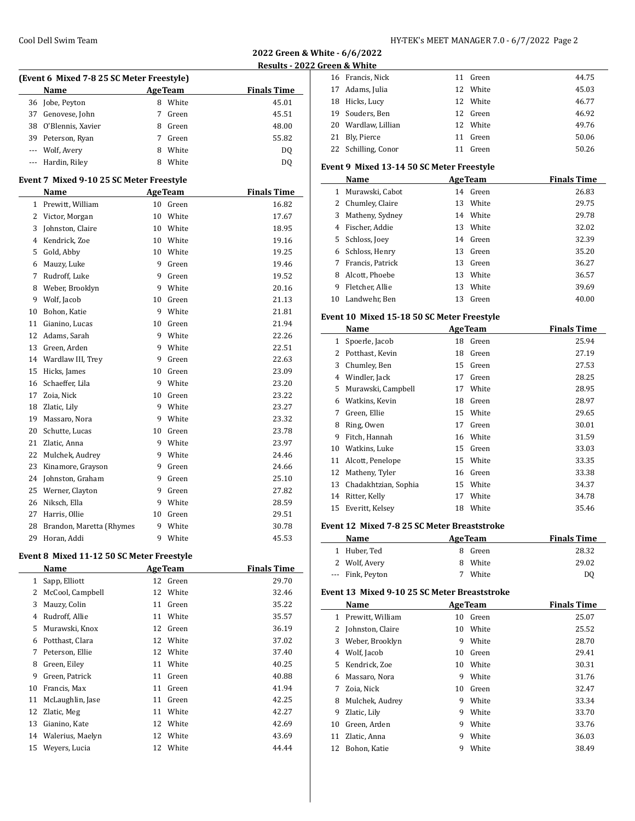| HY-TEK's MEET MANAGER 7.0 - 6/7/2022 Page 2 |  |  |
|---------------------------------------------|--|--|
|---------------------------------------------|--|--|

**2022 Green & White - 6/6/2022**

**Results - 2022 Green & White**

|                                           | (Event 6 Mixed 7-8 25 SC Meter Freestyle) |    |                 |                    |  |  |
|-------------------------------------------|-------------------------------------------|----|-----------------|--------------------|--|--|
|                                           | Name                                      |    | <b>AgeTeam</b>  | <b>Finals Time</b> |  |  |
| 36                                        | Jobe, Peyton                              |    | 8 White         | 45.01              |  |  |
| 37                                        | Genovese, John                            | 7  | Green           | 45.51              |  |  |
|                                           | 38 O'Blennis, Xavier                      |    | 8 Green         | 48.00              |  |  |
|                                           | 39 Peterson, Ryan                         | 7  | Green           | 55.82              |  |  |
|                                           | --- Wolf, Avery                           |    | 8 White         | DQ                 |  |  |
| ---                                       | Hardin, Riley                             | 8  | White           | DQ                 |  |  |
|                                           | Event 7 Mixed 9-10 25 SC Meter Freestyle  |    |                 |                    |  |  |
|                                           | Name                                      |    | <b>Age Team</b> | <b>Finals Time</b> |  |  |
| $\mathbf{1}$                              | Prewitt, William                          |    | 10 Green        | 16.82              |  |  |
| $\overline{2}$                            | Victor, Morgan                            |    | 10 White        | 17.67              |  |  |
| 3                                         | Johnston, Claire                          |    | 10 White        | 18.95              |  |  |
|                                           | 4 Kendrick, Zoe                           |    | 10 White        | 19.16              |  |  |
| 5                                         | Gold, Abby                                |    | 10 White        | 19.25              |  |  |
| 6                                         | Mauzy, Luke                               | 9  | Green           | 19.46              |  |  |
| 7                                         | Rudroff, Luke                             | 9  | Green           | 19.52              |  |  |
| 8                                         | Weber, Brooklyn                           |    | 9 White         | 20.16              |  |  |
| 9                                         | Wolf, Jacob                               |    | 10 Green        | 21.13              |  |  |
| 10                                        | Bohon, Katie                              |    | 9 White         | 21.81              |  |  |
| 11                                        | Gianino, Lucas                            |    | 10 Green        | 21.94              |  |  |
| 12                                        | Adams, Sarah                              |    | 9 White         | 22.26              |  |  |
| 13                                        | Green, Arden                              |    | 9 White         | 22.51              |  |  |
| 14                                        | Wardlaw III, Trey                         |    | 9 Green         | 22.63              |  |  |
| 15                                        | Hicks, James                              |    | 10 Green        | 23.09              |  |  |
| 16                                        | Schaeffer, Lila                           | 9  | White           | 23.20              |  |  |
| 17                                        | Zoia, Nick                                | 10 | Green           | 23.22              |  |  |
| 18                                        | Zlatic, Lily                              |    | 9 White         | 23.27              |  |  |
| 19                                        | Massaro, Nora                             |    | 9 White         | 23.32              |  |  |
| 20                                        | Schutte, Lucas                            |    | 10 Green        | 23.78              |  |  |
| 21                                        | Zlatic, Anna                              |    | 9 White         | 23.97              |  |  |
| 22                                        | Mulchek, Audrey                           | 9  | White           | 24.46              |  |  |
| 23                                        | Kinamore, Grayson                         | 9  | Green           | 24.66              |  |  |
| 24                                        | Johnston, Graham                          |    | 9 Green         | 25.10              |  |  |
| 25                                        | Werner, Clayton                           |    | 9 Green         | 27.82              |  |  |
| 26                                        | Niksch, Ella                              |    | 9 White         | 28.59              |  |  |
| 27                                        | Harris, Ollie                             | 10 | Green           | 29.51              |  |  |
| 28                                        | Brandon, Maretta (Rhymes                  | 9  | White           | 30.78              |  |  |
| 29                                        | Horan, Addi                               | 9  | White           | 45.53              |  |  |
| Event 8 Mixed 11-12 50 SC Meter Freestyle |                                           |    |                 |                    |  |  |

| Name             |    |       | <b>Finals Time</b>                                 |
|------------------|----|-------|----------------------------------------------------|
| Sapp, Elliott    |    | Green | 29.70                                              |
| McCool, Campbell |    |       | 32.46                                              |
| Mauzy, Colin     | 11 | Green | 35.22                                              |
| Rudroff, Allie   | 11 | White | 35.57                                              |
| Murawski, Knox   |    | Green | 36.19                                              |
| Potthast, Clara  |    |       | 37.02                                              |
| Peterson, Ellie  | 12 | White | 37.40                                              |
| Green, Eiley     | 11 | White | 40.25                                              |
| Green, Patrick   | 11 | Green | 40.88                                              |
| Francis, Max     | 11 | Green | 41.94                                              |
| McLaughlin, Jase | 11 | Green | 42.25                                              |
| Zlatic, Meg      | 11 | White | 42.27                                              |
| Gianino, Kate    | 12 | White | 42.69                                              |
| Walerius, Maelyn | 12 | White | 43.69                                              |
| Wevers, Lucia    | 12 | White | 44.44                                              |
|                  |    |       | <b>AgeTeam</b><br>12<br>12 White<br>12<br>12 White |

|  | 16 Francis, Nick    | 11 | Green    | 44.75 |
|--|---------------------|----|----------|-------|
|  | 17 Adams, Julia     |    | 12 White | 45.03 |
|  | 18 Hicks, Lucy      |    | 12 White | 46.77 |
|  | 19 Souders, Ben     |    | 12 Green | 46.92 |
|  | 20 Wardlaw, Lillian |    | 12 White | 49.76 |
|  | 21 Bly, Pierce      | 11 | Green    | 50.06 |
|  | 22 Schilling, Conor |    | Green    | 50.26 |

#### **Event 9 Mixed 13-14 50 SC Meter Freestyle**

| Name |                  | <b>AgeTeam</b> |          | <b>Finals Time</b> |
|------|------------------|----------------|----------|--------------------|
|      | Murawski, Cabot  |                | 14 Green | 26.83              |
| 2    | Chumley, Claire  | 13             | White    | 29.75              |
| 3    | Matheny, Sydney  | 14             | White    | 29.78              |
| 4    | Fischer, Addie   | 13             | White    | 32.02              |
| 5.   | Schloss, Joey    | 14             | Green    | 32.39              |
| 6    | Schloss, Henry   | 13             | Green    | 35.20              |
|      | Francis, Patrick | 13             | Green    | 36.27              |
| 8    | Alcott. Phoebe   | 13             | White    | 36.57              |
| 9    | Fletcher. Allie  | 13             | White    | 39.69              |
| 10   | Landwehr, Ben    | 13             | Green    | 40.00              |

# **Event 10 Mixed 15-18 50 SC Meter Freestyle**

| Name |                      |    | <b>AgeTeam</b> | <b>Finals Time</b> |
|------|----------------------|----|----------------|--------------------|
| 1    | Spoerle, Jacob       | 18 | Green          | 25.94              |
| 2    | Potthast, Kevin      | 18 | Green          | 27.19              |
| 3    | Chumley, Ben         | 15 | Green          | 27.53              |
| 4    | Windler, Jack        | 17 | Green          | 28.25              |
| 5    | Murawski, Campbell   | 17 | White          | 28.95              |
| 6    | Watkins, Kevin       | 18 | Green          | 28.97              |
| 7    | Green, Ellie         | 15 | White          | 29.65              |
| 8    | Ring, Owen           | 17 | Green          | 30.01              |
| 9    | Fitch, Hannah        | 16 | White          | 31.59              |
| 10   | Watkins, Luke        | 15 | Green          | 33.03              |
| 11   | Alcott, Penelope     | 15 | White          | 33.35              |
| 12   | Matheny, Tyler       | 16 | Green          | 33.38              |
| 13   | Chadakhtzian, Sophia | 15 | White          | 34.37              |
| 14   | Ritter, Kelly        | 17 | White          | 34.78              |
| 15   | Everitt, Kelsey      | 18 | White          | 35.46              |

### **Event 12 Mixed 7-8 25 SC Meter Breaststroke**

| Name             | <b>AgeTeam</b> | <b>Finals Time</b> |
|------------------|----------------|--------------------|
| 1 Huber, Ted     | 8 Green        | 28.32              |
| 2 Wolf, Avery    | 8 White        | 29.02              |
| --- Fink, Peyton | White<br>7     | D <sub>0</sub>     |

#### **Event 13 Mixed 9-10 25 SC Meter Breaststroke**

| Name         |                  |    | <b>AgeTeam</b> | <b>Finals Time</b> |
|--------------|------------------|----|----------------|--------------------|
| $\mathbf{1}$ | Prewitt, William | 10 | Green          | 25.07              |
| 2            | Johnston, Claire | 10 | White          | 25.52              |
| 3            | Weber, Brooklyn  | 9  | White          | 28.70              |
| 4            | Wolf, Jacob      | 10 | Green          | 29.41              |
| 5.           | Kendrick, Zoe    | 10 | White          | 30.31              |
| 6            | Massaro, Nora    | 9  | White          | 31.76              |
| 7            | Zoia, Nick       | 10 | Green          | 32.47              |
| 8            | Mulchek, Audrey  | 9  | White          | 33.34              |
| 9            | Zlatic, Lily     | 9  | White          | 33.70              |
| 10           | Green, Arden     | 9  | White          | 33.76              |
| 11           | Zlatic, Anna     | 9  | White          | 36.03              |
| 12           | Bohon, Katie     | 9  | White          | 38.49              |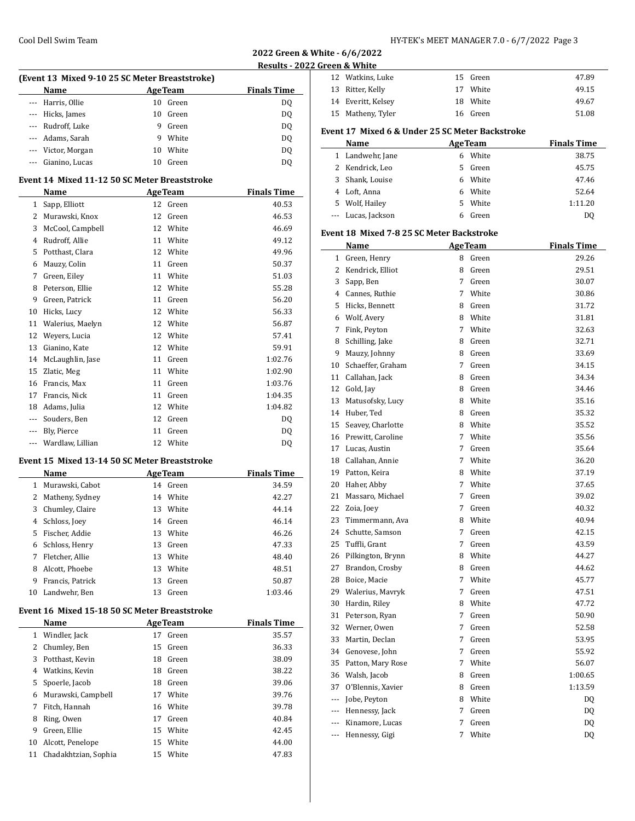| 2022 Green & White - 6/6/2022 |  |
|-------------------------------|--|
| Results - 2022 Green & White  |  |

 $\overline{a}$ 

| (Event 13 Mixed 9-10 25 SC Meter Breaststroke) |    |                |                    |  |  |  |
|------------------------------------------------|----|----------------|--------------------|--|--|--|
| Name                                           |    | <b>AgeTeam</b> | <b>Finals Time</b> |  |  |  |
| --- Harris, Ollie                              | 10 | Green          | DO.                |  |  |  |
| --- Hicks, James                               | 10 | Green          | DQ                 |  |  |  |
| --- Rudroff, Luke                              | 9  | Green          | DO.                |  |  |  |
| --- Adams, Sarah                               | 9  | White          | DO.                |  |  |  |
| --- Victor, Morgan                             | 10 | White          | DQ                 |  |  |  |
| Gianino, Lucas                                 |    | Green          | DO.                |  |  |  |

# **Event 14 Mixed 11-12 50 SC Meter Breaststroke**

|     | Name             |    | <b>AgeTeam</b> | <b>Finals Time</b> |
|-----|------------------|----|----------------|--------------------|
| 1   | Sapp, Elliott    | 12 | Green          | 40.53              |
| 2   | Murawski, Knox   | 12 | Green          | 46.53              |
| 3   | McCool, Campbell | 12 | White          | 46.69              |
| 4   | Rudroff, Allie   | 11 | White          | 49.12              |
| 5   | Potthast, Clara  | 12 | White          | 49.96              |
| 6   | Mauzy, Colin     | 11 | Green          | 50.37              |
| 7   | Green, Eiley     | 11 | White          | 51.03              |
| 8   | Peterson, Ellie  | 12 | White          | 55.28              |
| 9   | Green, Patrick   | 11 | Green          | 56.20              |
| 10  | Hicks, Lucy      | 12 | White          | 56.33              |
| 11  | Walerius, Maelyn | 12 | White          | 56.87              |
| 12  | Weyers, Lucia    | 12 | White          | 57.41              |
| 13  | Gianino, Kate    | 12 | White          | 59.91              |
| 14  | McLaughlin, Jase | 11 | Green          | 1:02.76            |
| 15  | Zlatic, Meg      | 11 | White          | 1:02.90            |
| 16  | Francis, Max     | 11 | Green          | 1:03.76            |
| 17  | Francis, Nick    | 11 | Green          | 1:04.35            |
| 18  | Adams, Julia     | 12 | White          | 1:04.82            |
| --- | Souders, Ben     | 12 | Green          | DQ                 |
| --- | Bly, Pierce      | 11 | Green          | DQ                 |
| --- | Wardlaw, Lillian | 12 | White          | DQ                 |

#### **Event 15 Mixed 13-14 50 SC Meter Breaststroke**

|    | Name             |    | <b>AgeTeam</b> | <b>Finals Time</b> |
|----|------------------|----|----------------|--------------------|
| 1. | Murawski, Cabot  | 14 | Green          | 34.59              |
| 2  | Matheny, Sydney  |    | 14 White       | 42.27              |
| 3  | Chumley, Claire  | 13 | White          | 44.14              |
| 4  | Schloss, Joey    | 14 | Green          | 46.14              |
| 5  | Fischer, Addie   | 13 | White          | 46.26              |
| 6  | Schloss, Henry   | 13 | Green          | 47.33              |
| 7  | Fletcher, Allie  | 13 | White          | 48.40              |
| 8  | Alcott. Phoebe   | 13 | White          | 48.51              |
| 9  | Francis. Patrick | 13 | Green          | 50.87              |
| 10 | Landwehr, Ben    | 13 | Green          | 1:03.46            |
|    |                  |    |                |                    |

# **Event 16 Mixed 15-18 50 SC Meter Breaststroke**

|    | Name                 |    | <b>AgeTeam</b> | <b>Finals Time</b> |
|----|----------------------|----|----------------|--------------------|
| 1  | Windler, Jack        | 17 | Green          | 35.57              |
| 2  | Chumley, Ben         | 15 | Green          | 36.33              |
| 3  | Potthast, Kevin      | 18 | Green          | 38.09              |
| 4  | Watkins, Kevin       | 18 | Green          | 38.22              |
| 5. | Spoerle, Jacob       | 18 | Green          | 39.06              |
| 6  | Murawski, Campbell   | 17 | White          | 39.76              |
| 7  | Fitch, Hannah        | 16 | White          | 39.78              |
| 8  | Ring, Owen           | 17 | Green          | 40.84              |
| 9  | Green, Ellie         | 15 | White          | 42.45              |
| 10 | Alcott, Penelope     | 15 | White          | 44.00              |
| 11 | Chadakhtzian, Sophia | 15 | White          | 47.83              |

| 12 Watkins, Luke   | 15 Green | 47.89 |
|--------------------|----------|-------|
| 13 Ritter, Kelly   | 17 White | 49.15 |
| 14 Everitt, Kelsey | 18 White | 49.67 |
| 15 Matheny, Tyler  | 16 Green | 51.08 |
|                    |          |       |

# **Event 17 Mixed 6 & Under 25 SC Meter Backstroke**

|    | Name<br><b>AgeTeam</b> |    |       | <b>Finals Time</b> |
|----|------------------------|----|-------|--------------------|
|    | 1 Landwehr, Jane       | 6  | White | 38.75              |
|    | 2 Kendrick, Leo        | 5. | Green | 45.75              |
| 3  | Shank, Louise          | 6  | White | 47.46              |
|    | 4 Loft, Anna           | 6  | White | 52.64              |
| 5. | Wolf, Hailey           | 5. | White | 1:11.20            |
|    | --- Lucas, Jackson     |    | Green | D0                 |

#### **Event 18 Mixed 7-8 25 SC Meter Backstroke**

|                          | Name              |   | <b>AgeTeam</b> | <b>Finals Time</b> |
|--------------------------|-------------------|---|----------------|--------------------|
| 1                        | Green, Henry      | 8 | Green          | 29.26              |
| $\overline{2}$           | Kendrick, Elliot  | 8 | Green          | 29.51              |
| 3                        | Sapp, Ben         | 7 | Green          | 30.07              |
| 4                        | Cannes, Ruthie    | 7 | White          | 30.86              |
| 5                        | Hicks, Bennett    | 8 | Green          | 31.72              |
| 6                        | Wolf, Avery       | 8 | White          | 31.81              |
| 7                        | Fink, Peyton      | 7 | White          | 32.63              |
| 8                        | Schilling, Jake   | 8 | Green          | 32.71              |
| 9                        | Mauzy, Johnny     | 8 | Green          | 33.69              |
| 10                       | Schaeffer, Graham | 7 | Green          | 34.15              |
| 11                       | Callahan, Jack    | 8 | Green          | 34.34              |
| 12                       | Gold, Jay         | 8 | Green          | 34.46              |
| 13                       | Matusofsky, Lucy  | 8 | White          | 35.16              |
| 14                       | Huber, Ted        | 8 | Green          | 35.32              |
| 15                       | Seavey, Charlotte | 8 | White          | 35.52              |
| 16                       | Prewitt, Caroline | 7 | White          | 35.56              |
| 17                       | Lucas, Austin     | 7 | Green          | 35.64              |
| 18                       | Callahan, Annie   | 7 | White          | 36.20              |
| 19                       | Patton, Keira     | 8 | White          | 37.19              |
| 20                       | Haher, Abby       | 7 | White          | 37.65              |
| 21                       | Massaro, Michael  | 7 | Green          | 39.02              |
| 22                       | Zoia, Joey        | 7 | Green          | 40.32              |
| 23                       | Timmermann, Ava   | 8 | White          | 40.94              |
| 24                       | Schutte, Samson   | 7 | Green          | 42.15              |
| 25                       | Tuffli, Grant     | 7 | Green          | 43.59              |
| 26                       | Pilkington, Brynn | 8 | White          | 44.27              |
| 27                       | Brandon, Crosby   | 8 | Green          | 44.62              |
| 28                       | Boice, Macie      | 7 | White          | 45.77              |
| 29                       | Walerius, Mavryk  | 7 | Green          | 47.51              |
| 30                       | Hardin, Riley     | 8 | White          | 47.72              |
| 31                       | Peterson, Ryan    | 7 | Green          | 50.90              |
| 32                       | Werner, Owen      | 7 | Green          | 52.58              |
| 33                       | Martin, Declan    | 7 | Green          | 53.95              |
| 34                       | Genovese, John    | 7 | Green          | 55.92              |
| 35                       | Patton, Mary Rose | 7 | White          | 56.07              |
| 36                       | Walsh, Jacob      | 8 | Green          | 1:00.65            |
| 37                       | O'Blennis, Xavier | 8 | Green          | 1:13.59            |
| $\overline{\phantom{a}}$ | Jobe, Peyton      | 8 | White          | DQ                 |
| $\overline{\phantom{a}}$ | Hennessy, Jack    | 7 | Green          | DQ                 |
| ---                      | Kinamore, Lucas   | 7 | Green          | DQ                 |
| $\overline{\phantom{a}}$ | Hennessy, Gigi    | 7 | White          | DQ                 |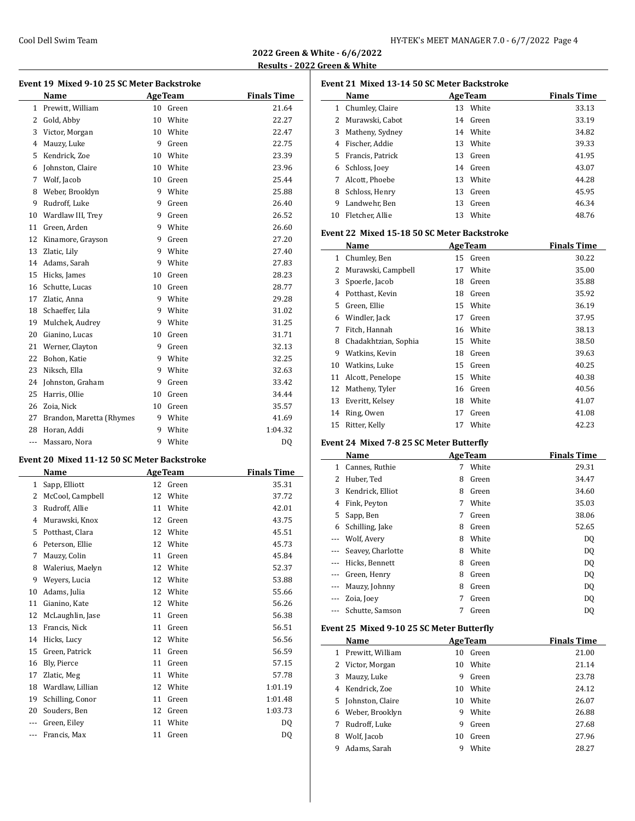**2022 Green & White - 6/6/2022 Results - 2022 Green & White**

|    | Event 19 Mixed 9-10 25 SC Meter Backstroke |    |                |                    |  |  |
|----|--------------------------------------------|----|----------------|--------------------|--|--|
|    | Name                                       |    | <b>AgeTeam</b> | <b>Finals Time</b> |  |  |
| 1  | Prewitt, William                           | 10 | Green          | 21.64              |  |  |
| 2  | Gold, Abby                                 | 10 | White          | 22.27              |  |  |
| 3  | Victor, Morgan                             | 10 | White          | 22.47              |  |  |
| 4  | Mauzy, Luke                                | 9  | Green          | 22.75              |  |  |
| 5. | Kendrick, Zoe                              | 10 | White          | 23.39              |  |  |
| 6  | Johnston, Claire                           | 10 | White          | 23.96              |  |  |
| 7  | Wolf, Jacob                                | 10 | Green          | 25.44              |  |  |
| 8  | Weber, Brooklyn                            | 9  | White          | 25.88              |  |  |
| 9  | Rudroff, Luke                              | 9  | Green          | 26.40              |  |  |
| 10 | Wardlaw III, Trey                          | 9  | Green          | 26.52              |  |  |

11 Green, Arden 9 White 26.60 12 Kinamore, Grayson 9 Green 27.20 13 Zlatic, Lily 9 White 27.40 14 Adams, Sarah 9 White 27.83 Hicks, James 10 Green 28.23 Schutte, Lucas 10 Green 28.77 Zlatic, Anna 9 White 29.28 18 Schaeffer, Lila 9 White 31.02 19 Mulchek, Audrey 19 White 31.25 Gianino, Lucas 10 Green 31.71 21 Werner, Clayton 9 Green 32.13 Bohon, Katie 9 White 32.25 23 Niksch, Ella 9 White 32.63 Johnston, Graham 9 Green 33.42 Harris, Ollie 10 Green 34.44 Zoia, Nick 10 Green 35.57 27 Brandon, Maretta (Rhymes 9 White 41.69 Horan, Addi 9 White 1:04.32

| --- Massaro, Nora | 9 White | DQ |
|-------------------|---------|----|
|                   |         |    |

## **Event 20 Mixed 11-12 50 SC Meter Backstroke**

|     | <b>Name</b>      |    | <b>AgeTeam</b> | <b>Finals Time</b> |
|-----|------------------|----|----------------|--------------------|
| 1   | Sapp, Elliott    | 12 | Green          | 35.31              |
| 2   | McCool, Campbell | 12 | White          | 37.72              |
| 3   | Rudroff, Allie   | 11 | White          | 42.01              |
| 4   | Murawski, Knox   | 12 | Green          | 43.75              |
| 5   | Potthast, Clara  | 12 | White          | 45.51              |
| 6   | Peterson, Ellie  | 12 | White          | 45.73              |
| 7   | Mauzy, Colin     | 11 | Green          | 45.84              |
| 8   | Walerius, Maelyn | 12 | White          | 52.37              |
| 9   | Wevers, Lucia    | 12 | White          | 53.88              |
| 10  | Adams, Julia     | 12 | White          | 55.66              |
| 11  | Gianino, Kate    | 12 | White          | 56.26              |
| 12  | McLaughlin, Jase | 11 | Green          | 56.38              |
| 13  | Francis, Nick    | 11 | Green          | 56.51              |
| 14  | Hicks, Lucy      | 12 | White          | 56.56              |
| 15  | Green, Patrick   | 11 | Green          | 56.59              |
| 16  | Bly, Pierce      | 11 | Green          | 57.15              |
| 17  | Zlatic, Meg      | 11 | White          | 57.78              |
| 18  | Wardlaw, Lillian | 12 | White          | 1:01.19            |
| 19  | Schilling, Conor | 11 | Green          | 1:01.48            |
| 20  | Souders, Ben     | 12 | Green          | 1:03.73            |
|     | Green, Eiley     | 11 | White          | D <sub>0</sub>     |
| --- | Francis, Max     | 11 | Green          | DQ                 |

|    | Event 21 Mixed 13-14 50 SC Meter Backstroke |    |                |                    |  |  |  |
|----|---------------------------------------------|----|----------------|--------------------|--|--|--|
|    | Name                                        |    | <b>AgeTeam</b> | <b>Finals Time</b> |  |  |  |
| 1  | Chumley, Claire                             | 13 | White          | 33.13              |  |  |  |
| 2  | Murawski, Cabot                             |    | 14 Green       | 33.19              |  |  |  |
| 3  | Matheny, Sydney                             | 14 | White          | 34.82              |  |  |  |
| 4  | Fischer, Addie                              | 13 | White          | 39.33              |  |  |  |
| 5  | Francis. Patrick                            | 13 | Green          | 41.95              |  |  |  |
| 6  | Schloss, Joey                               | 14 | Green          | 43.07              |  |  |  |
| 7  | Alcott. Phoebe                              | 13 | White          | 44.28              |  |  |  |
| 8  | Schloss, Henry                              | 13 | Green          | 45.95              |  |  |  |
| 9  | Landwehr, Ben                               | 13 | Green          | 46.34              |  |  |  |
| 10 | Fletcher, Allie                             | 13 | White          | 48.76              |  |  |  |
|    |                                             |    |                |                    |  |  |  |

#### **Event 22 Mixed 15-18 50 SC Meter Backstroke**

|    | Name                 |    | <b>AgeTeam</b> | <b>Finals Time</b> |
|----|----------------------|----|----------------|--------------------|
| 1  | Chumley, Ben         | 15 | Green          | 30.22              |
| 2  | Murawski, Campbell   | 17 | White          | 35.00              |
| 3  | Spoerle, Jacob       | 18 | Green          | 35.88              |
| 4  | Potthast, Kevin      | 18 | Green          | 35.92              |
| 5  | Green, Ellie         | 15 | White          | 36.19              |
| 6  | Windler, Jack        | 17 | Green          | 37.95              |
| 7  | Fitch, Hannah        | 16 | White          | 38.13              |
| 8  | Chadakhtzian, Sophia | 15 | White          | 38.50              |
| 9  | Watkins, Kevin       | 18 | Green          | 39.63              |
| 10 | Watkins, Luke        | 15 | Green          | 40.25              |
| 11 | Alcott, Penelope     | 15 | White          | 40.38              |
| 12 | Matheny, Tyler       | 16 | Green          | 40.56              |
| 13 | Everitt, Kelsey      | 18 | White          | 41.07              |
| 14 | Ring, Owen           | 17 | Green          | 41.08              |
| 15 | Ritter, Kelly        | 17 | White          | 42.23              |

#### **Event 24 Mixed 7-8 25 SC Meter Butterfly**

 $\overline{a}$ 

|   | Name              |   | <b>AgeTeam</b> | <b>Finals Time</b> |
|---|-------------------|---|----------------|--------------------|
| 1 | Cannes, Ruthie    | 7 | White          | 29.31              |
| 2 | Huber, Ted        | 8 | Green          | 34.47              |
| 3 | Kendrick, Elliot  | 8 | Green          | 34.60              |
| 4 | Fink, Peyton      | 7 | White          | 35.03              |
| 5 | Sapp, Ben         | 7 | Green          | 38.06              |
| 6 | Schilling, Jake   | 8 | Green          | 52.65              |
|   | Wolf, Avery       | 8 | White          | DO.                |
|   | Seavey, Charlotte | 8 | White          | DQ                 |
|   | Hicks, Bennett    | 8 | Green          | DQ                 |
|   | Green, Henry      | 8 | Green          | DQ                 |
|   | Mauzy, Johnny     | 8 | Green          | DQ                 |
|   | Zoia, Joey        | 7 | Green          | DO.                |
|   | Schutte, Samson   | 7 | Green          | DO                 |

### **Event 25 Mixed 9-10 25 SC Meter Butterfly**

|   | Name             |    | <b>AgeTeam</b> | <b>Finals Time</b> |
|---|------------------|----|----------------|--------------------|
|   | Prewitt, William | 10 | Green          | 21.00              |
|   | 2 Victor, Morgan | 10 | White          | 21.14              |
| 3 | Mauzy, Luke      | 9  | Green          | 23.78              |
| 4 | Kendrick. Zoe    | 10 | White          | 24.12              |
| 5 | Johnston, Claire | 10 | White          | 26.07              |
| 6 | Weber, Brooklyn  | 9  | White          | 26.88              |
| 7 | Rudroff, Luke    | 9  | Green          | 27.68              |
| 8 | Wolf, Jacob      | 10 | Green          | 27.96              |
| 9 | Adams, Sarah     | 9  | White          | 28.27              |